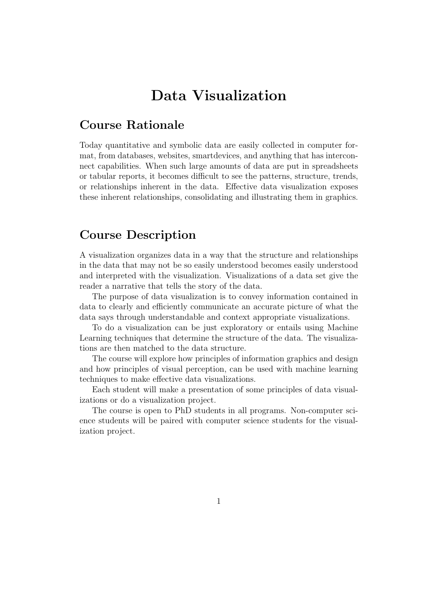# Data Visualization

### Course Rationale

Today quantitative and symbolic data are easily collected in computer format, from databases, websites, smartdevices, and anything that has interconnect capabilities. When such large amounts of data are put in spreadsheets or tabular reports, it becomes difficult to see the patterns, structure, trends, or relationships inherent in the data. Effective data visualization exposes these inherent relationships, consolidating and illustrating them in graphics.

### Course Description

A visualization organizes data in a way that the structure and relationships in the data that may not be so easily understood becomes easily understood and interpreted with the visualization. Visualizations of a data set give the reader a narrative that tells the story of the data.

The purpose of data visualization is to convey information contained in data to clearly and efficiently communicate an accurate picture of what the data says through understandable and context appropriate visualizations.

To do a visualization can be just exploratory or entails using Machine Learning techniques that determine the structure of the data. The visualizations are then matched to the data structure.

The course will explore how principles of information graphics and design and how principles of visual perception, can be used with machine learning techniques to make effective data visualizations.

Each student will make a presentation of some principles of data visualizations or do a visualization project.

The course is open to PhD students in all programs. Non-computer science students will be paired with computer science students for the visualization project.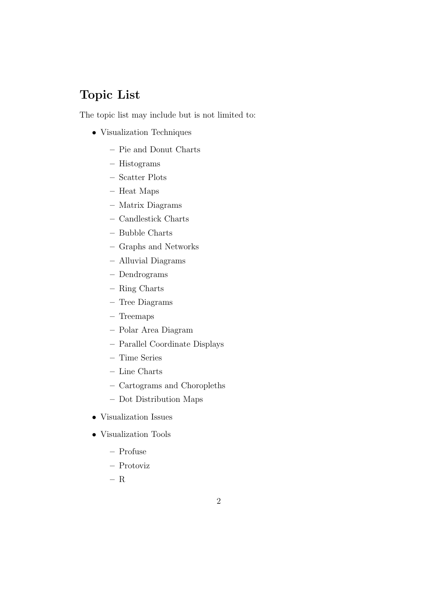## Topic List

The topic list may include but is not limited to:

- Visualization Techniques
	- Pie and Donut Charts
	- Histograms
	- Scatter Plots
	- Heat Maps
	- Matrix Diagrams
	- Candlestick Charts
	- Bubble Charts
	- Graphs and Networks
	- Alluvial Diagrams
	- Dendrograms
	- Ring Charts
	- Tree Diagrams
	- Treemaps
	- Polar Area Diagram
	- Parallel Coordinate Displays
	- Time Series
	- Line Charts
	- Cartograms and Choropleths
	- Dot Distribution Maps
- Visualization Issues
- Visualization Tools
	- Profuse
	- Protoviz
	- R